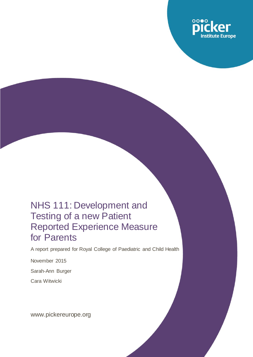

## NHS 111: Development and Testing of a new Patient Reported Experience Measure for Parents

A report prepared for Royal College of Paediatric and Child Health

November 2015

Sarah-Ann Burger

Cara Witwicki

www.pickereurope.org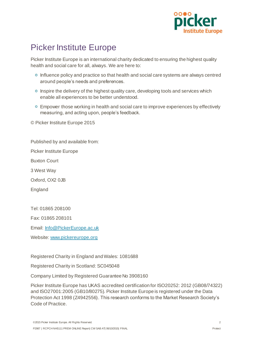

## Picker Institute Europe

Picker Institute Europe is an international charity dedicated to ensuring the highest quality health and social care for all, always. We are here to:

- o Influence policy and practice so that health and social care systems are always centred around people's needs and preferences.
- <sup>o</sup> Inspire the delivery of the highest quality care, developing tools and services which enable all experiences to be better understood.
- Empower those working in health and social care to improve experiences by effectively measuring, and acting upon, people's feedback.

© Picker Institute Europe 2015

Published by and available from:

Picker Institute Europe

Buxton Court

- 3 West Way
- Oxford, OX2 0JB

England

Tel: 01865 208100

Fax: 01865 208101

Email: [Info@PickerEurope.ac.uk](mailto:Info@PickerEurope.ac.uk)

Website: [www.pickereurope.org](http://www.pickereurope.org/)

Registered Charity in England and Wales: 1081688

Registered Charity in Scotland: SC045048

Company Limited by Registered Guarantee No 3908160

Picker Institute Europe has UKAS accredited certification for ISO20252: 2012 (GB08/74322) and ISO27001:2005 (GB10/80275). Picker Institute Europe is registered under the Data Protection Act 1998 (Z4942556). This research conforms to the Market Research Society's Code of Practice.

©2015 Picker Institute Europe. All Rights Reserved. 2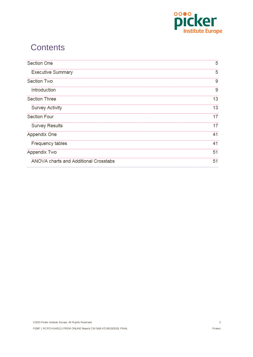

## **Contents**

| Section One                           | 5  |
|---------------------------------------|----|
| <b>Executive Summary</b>              | 5  |
| Section Two                           | 9  |
| Introduction                          | 9  |
| <b>Section Three</b>                  | 13 |
| <b>Survey Activity</b>                | 13 |
| <b>Section Four</b>                   |    |
| <b>Survey Results</b>                 |    |
| Appendix One                          |    |
| Frequency tables                      |    |
| Appendix Two                          |    |
| ANOVA charts and Additional Crosstabs | 51 |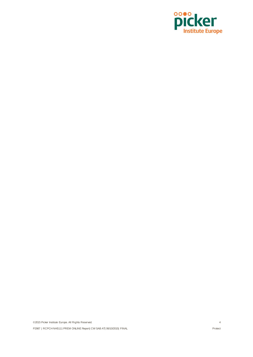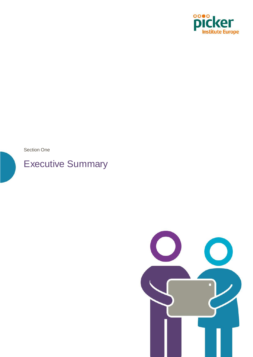

Section One

Executive Summary

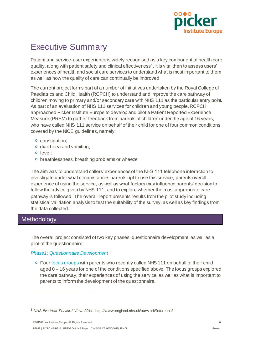

## Executive Summary

Patient and service-user experience is widely recognised as a key component of health care quality, along with patient safety and clinical effectiveness<sup>1</sup>. It is vital then to assess users' experiences of health and social care services to understand what is most important to them as well as how the quality of care can continually be improved.

The current project forms part of a number of initiatives undertaken by the Royal College of Paediatrics and Child Health (RCPCH) to understand and improve the care pathway of children moving to primary and/or secondary care with NHS 111 as the particular entry point. As part of an evaluation of NHS 111 services for children and young people, RCPCH approached Picker Institute Europe to develop and pilot a Patient Reported Experience Measure (PREM) to gather feedback from parents of children under the age of 16 years, who have called NHS 111 service on behalf of their child for one of four common conditions covered by the NICE guidelines, namely:

- o constipation;
- o diarrhoea and vomiting;
- o fever:
- o breathlessness, breathing problems or wheeze

The aim was to understand callers' experiences of the NHS 111 telephone interaction to investigate under what circumstances parents opt to use this service, parents overall experience of using the service, as well as what factors may influence parents' decision to follow the advice given by NHS 111, and to explore whether the most appropriate care pathway is followed. The overall report presents results from the pilot study including statistical validation analysis to test the suitability of the survey, as well as key findings from the data collected.

### **Methodology**

 $\overline{a}$ 

The overall project consisted of two key phases: questionnaire development; as well as a pilot of the questionnaire.

#### *Phase1: Questionnaire Development*

Four focus groups with parents who recently called NHS 111 on behalf of their child aged 0 – 16 years for one of the conditions specified above. The focus groups explored the care pathway, their experiences of using the service, as well as what is important to parents to inform the development of the questionnaire.

<sup>1</sup> *NHS five Year Forward View. 2014.* http://w ww.england.nhs.uk/ourw ork/futurenhs/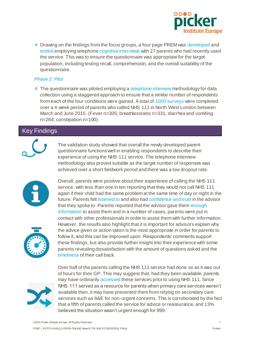

o Drawing on the findings from the focus groups, a four page PREM was developed and tested employing telephone cognitive interviews with 27 parents who had recently used the service. This was to ensure the questionnaire was appropriate for the target population, including testing recall, comprehension, and the overall suitability of the questionnaire.

#### *Phase 2: Pilot*

o The questionnaire was piloted employing a telephone interview methodology for data collection using a staggered approach to ensure that a similar number of respondents from each of the four conditions were gained. A total of 1000 surveys were completed over a 4 week period of parents who called NHS 111 in North West London between March and June 2015. (Fever n=305; breathlessness n=331; diarrhea and vomiting n=264; constipation n=100).

### Key Findings



The validation study showed that overall the newly developed parent questionnaire functions well in enabling respondents to describe their experience of using the NHS 111 service. The telephone interview methodology also proved suitable as the target number of responses was achieved over a short fieldwork period and there was a low dropout rate.





Overall, parents were positive about their experience of calling the NHS 111 service, with less than one in ten reporting that they would not call NHS 111 again if their child had the same problem at the same time of day or night in the future. Parents felt listened to and also had confidence and trust in the advisor that they spoke to. Parents reported that the advisor gave them enough information to assist them and in a number of cases, parents were put in contact with other professionals in order to assist them with further information. However, the results also highlight that it is important for advisors explain why the advice given or action taken is the most appropriate in order for parents to follow it, and this can be improved upon. Respondents' comments support these findings, but also provide further insight into their experience with some parents revealing dissatisfaction with the amount of questions asked and the timeliness of their call back.



Over half of the parents calling the NHS 111 service had done so as it was out of hours for their GP. This may suggest that, had they been available, parents may have ordinarily accessed these services prior to using NHS 111. Since NHS 111 served as a resource for parents when primary care services weren't available then, it may have prevented them from relying on secondary care services such as A&E for non-urgent concerns. This is corroborated by the fact that a fifth of parents called the service for advice or reassurance, and 13% believed the situation wasn't urgent enough for 999.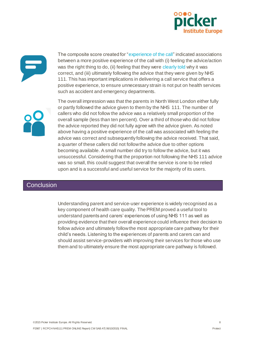

The composite score created for "experience of the call" indicated associations between a more positive experience of the call with (i) feeling the advice/action was the right thing to do, (ii) feeling that they were clearly told why it was correct, and (iii) ultimately following the advice that they were given by NHS 111. This has important implications in delivering a call service that offers a positive experience, to ensure unnecessary strain is not put on health services such as accident and emergency departments.



The overall impression was that the parents in North West London either fully or partly followed the advice given to them by the NHS 111. The number of callers who did not follow the advice was a relatively small proportion of the overall sample (less than ten percent). Over a third of those who did not follow the advice reported they did not fully agree with the advice given. As noted above having a positive experience of the call was associated with feeling the advice was correct and subsequently following the advice received. That said, a quarter of these callers did not follow the advice due to other options becoming available. A small number did try to follow the advice, but it was unsuccessful. Considering that the proportion not following the NHS 111 advice was so small, this could suggest that overall the service is one to be relied upon and is a successful and useful service for the majority of its users.

### **Conclusion**

Understanding parent and service-user experience is widely recognised as a key component of health care quality. The PREM proved a useful tool to understand parents and carers' experiences of using NHS 111 as well as providing evidence that their overall experience could influence their decision to follow advice and ultimately follow the most appropriate care pathway for their child's needs. Listening to the experiences of parents and carers can and should assist service-providers with improving their services for those who use them and to ultimately ensure the most appropriate care pathway is followed.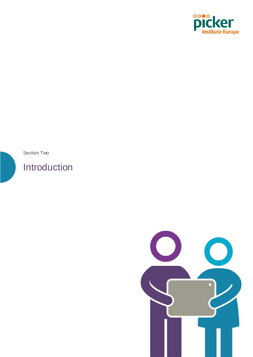

Section Two



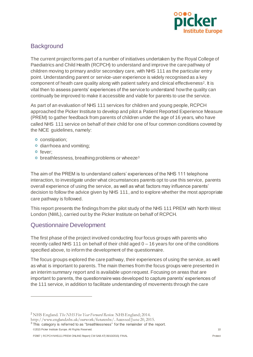

## **Background**

The current project forms part of a number of initiatives undertaken by the Royal College of Paediatrics and Child Health (RCPCH) to understand and improve the care pathway of children moving to primary and/or secondary care, with NHS 111 as the particular entry point. Understanding parent or service-user experience is widely recognised as a key component of heath care quality along with patient safety and clinical effectiveness<sup>2</sup>. It is vital then to assess parents' experiences of the service to understand how the quality can continually be improved to make it accessible and viable for parents to use the service.

As part of an evaluation of NHS 111 services for children and young people, RCPCH approached the Picker Institute to develop and pilot a Patient Reported Experience Measure (PREM) to gather feedback from parents of children under the age of 16 years, who have called NHS 111 service on behalf of their child for one of four common conditions covered by the NICE guidelines, namely:

- o constipation;
- o diarrhoea and vomiting;
- o fever:

j

 $\circ$  breathlessness, breathing problems or wheeze<sup>3</sup>

The aim of the PREM is to understand callers' experiences of the NHS 111 telephone interaction, to investigate under what circumstances parents opt to use this service, parents overall experience of using the service, as well as what factors may influence parents' decision to follow the advice given by NHS 111, and to explore whether the most appropriate care pathway is followed.

This report presents the findings from the pilot study of the NHS 111 PREM with North West London (NWL), carried out by the Picker Institute on behalf of RCPCH.

## Questionnaire Development

The first phase of the project involved conducting four focus groups with parents who recently called NHS 111 on behalf of their child aged  $0 - 16$  years for one of the conditions specified above, to inform the development of the questionnaire.

The focus groups explored the care pathway, their experiences of using the service, as well as what is important to parents. The main themes from the focus groups were presented in an interim summary report and is available upon request. Focusing on areas that are important to parents, the questionnaire was developed to capture parents' experiences of the 111 service, in addition to facilitate understanding of movements through the care

<sup>2</sup> NHS England. *The NHS Five Year Forward Review*. NHS England; 2014.

http://www.england.nhs.uk/ourwork/futurenhs/. Accessed June 20, 2015.

<sup>©2015</sup> Picker Institute Europe. All Rights Reserved. 10  $3$  This category is referred to as "breathlessness" for the remainder of the report.

P2987 | RCPCH NHS111 PREM ONLINE Report| CW SAB AT| 06/10/2015| FINAL Protect Protect Protect Protect Protect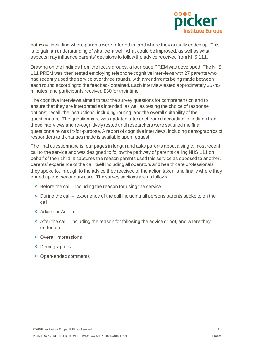

pathway, including where parents were referred to, and where they actually ended up. This is to gain an understanding of what went well, what could be improved, as well as what aspects may influence parents' decisions to follow the advice received from NHS 111.

Drawing on the findings from the focus groups, a four page PREM was developed. The NHS 111 PREM was then tested employing telephone cognitive interviews with 27 parents who had recently used the service over three rounds, with amendments being made between each round according to the feedback obtained. Each interview lasted approximately 35-45 minutes, and participants received £30 for their time.

The cognitive interviews aimed to test the survey questions for comprehension and to ensure that they are interpreted as intended, as well as testing the choice of response options; recall; the instructions, including routing; and the overall suitability of the questionnaire. The questionnaire was updated after each round according to findings from these interviews and re-cognitively tested until researchers were satisfied the final questionnaire was fit-for-purpose. A report of cognitive interviews, including demographics of responders and changes made is available upon request.

The final questionnaire is four pages in length and asks parents about a single, most recent call to the service and was designed to follow the pathway of parents calling NHS 111 on behalf of their child. It captures the reason parents used this service as opposed to another, parents' experience of the call itself including all operators and health care professionals they spoke to, through to the advice they received or the action taken, and finally where they ended up e.g. secondary care. The survey sections are as follows:

- $\circ$  Before the call including the reason for using the service
- During the call experience of the call including all persons parents spoke to on the call
- Advice or Action
- $\circ$  After the call including the reason for following the advice or not, and where they ended up
- o Overall impressions
- <sup>o</sup> Demographics
- Open-ended comments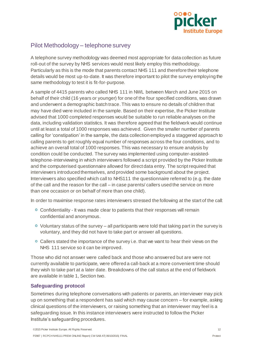

## Pilot Methodology – telephone survey

A telephone survey methodology was deemed most appropriate for data collection as future roll-out of the survey by NHS services would most likely employ this methodology. Particularly as this is the mode that parents contact NHS 111 and therefore their telephone details would be most up-to-date. It was therefore important to pilot the survey employing the same methodology to test it is fit-for-purpose.

A sample of 4415 parents who called NHS 111 in NWL between March and June 2015 on behalf of their child (16 years or younger) for one of the four specified conditions, was drawn and underwent a demographic batch trace. This was to ensure no details of children that may have died were included in the sample. Based on their expertise, the Picker Institute advised that 1000 completed responses would be suitable to run reliable analyses on the data, including validation statistics. It was therefore agreed that the fieldwork would continue until at least a total of 1000 responses was achieved. Given the smaller number of parents calling for 'constipation' in the sample, the data collection employed a staggered approach to calling parents to get roughly equal number of responses across the four conditions, and to achieve an overall total of 1000 responses. This was necessary to ensure analysis by condition could be conducted. The survey was implemented using computer-assistedtelephone-interviewing in which interviewers followed a script provided by the Picker Institute and the computerised questionnaire allowed for direct data entry. The script required that interviewers introduced themselves, and provided some background about the project. Interviewers also specified which call to NHS111 the questionnaire referred to (e.g. the date of the call and the reason for the call – in case parents/ callers used the service on more than one occasion or on behalf of more than one child).

In order to maximise response rates interviewers stressed the following at the start of the call:

- Confidentiality It was made clear to patients that their responses will remain confidential and anonymous.
- $\circ$  Voluntary status of the survey all participants were told that taking part in the survey is voluntary, and they did not have to take part or answer all questions.
- Callers stated the importance of the survey i.e. that we want to hear their views on the NHS 111 service so it can be improved.

Those who did not answer were called back and those who answered but are were not currently available to participate, were offered a call-back at a more convenient time should they wish to take part at a later date. Breakdowns of the call status at the end of fieldwork are available in table 1, Section two.

### **Safeguarding protocol**

Sometimes during telephone conversations with patients or parents, an interviewer may pick up on something that a respondent has said which may cause concern – for example, asking clinical questions of the interviewers, or raising something that an interviewer may feel is a safeguarding issue. In this instance interviewers were instructed to follow the Picker Institute's safeguarding procedures.

©2015 Picker Institute Europe. All Rights Reserved. 12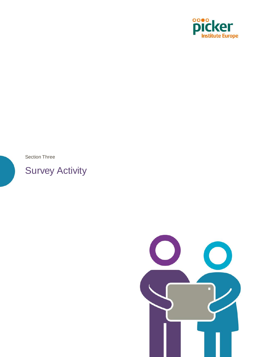

Section Three

Survey Activity

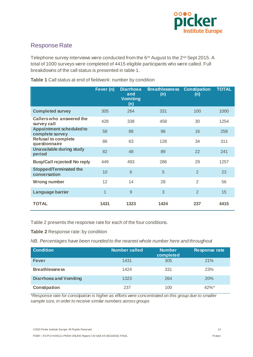

## Response Rate

Telephone survey interviews were conducted from the 6<sup>th</sup> August to the 2<sup>nd</sup> Sept 2015. A total of 1000 surveys were completed of 4415 eligible participants who were called. Full breakdowns of the call status is presented in table 1.

**Table 1** Call status at end of fieldwork: number by condition

|                                                    | Fever (n)       | <b>Diarrhoea</b><br>and<br><b>Vomiting</b><br>(n) | <b>Breathlessness</b><br>(n) | <b>Constipation</b><br>(n) | <b>TOTAL</b> |
|----------------------------------------------------|-----------------|---------------------------------------------------|------------------------------|----------------------------|--------------|
| <b>Completed survey</b>                            | 305             | 264                                               | 331                          | 100                        | 1000         |
| Callers who answered the<br>survey call            | 428             | 338                                               | 458                          | 30                         | 1254         |
| <b>Appointment scheduled to</b><br>complete survey | 58              | 88                                                | 96                           | 16                         | 258          |
| <b>Refusal to complete</b><br>questionnaire        | 86              | 63                                                | 128                          | 34                         | 311          |
| <b>Unavailable during study</b><br>period          | 82              | 48                                                | 89                           | 22                         | 241          |
| <b>Busy/Call rejected/ No reply</b>                | 449             | 493                                               | 286                          | 29                         | 1257         |
| <b>Stopped/Terminated the</b><br>conversation      | 10 <sup>°</sup> | 6                                                 | 5                            | $\overline{2}$             | 23           |
| <b>Wrong number</b>                                | 12              | 14                                                | 28                           | $\overline{2}$             | 56           |
| Language barrier                                   | $\mathbf{1}$    | 9                                                 | 3                            | $\overline{2}$             | 15           |
| <b>TOTAL</b>                                       | 1431            | 1323                                              | 1424                         | 237                        | 4415         |

Table 2 presents the response rate for each of the four conditions.

**Table 2** Response rate: by condition

*NB. Percentages have been rounded to the nearest whole number here and throughout*

| <b>Condition</b>              | Number called | <b>Number</b><br>completed | <b>Response rate</b> |
|-------------------------------|---------------|----------------------------|----------------------|
| <b>Fever</b>                  | 1431          | 305                        | 21%                  |
| <b>Breathlessness</b>         | 1424          | 331                        | 23%                  |
| <b>Diarrhoea and Vomiting</b> | 1323          | 264                        | <b>20%</b>           |
| Constipation                  | 237           | 100                        | 42%*                 |

*\*Response rate for constipation is higher as efforts were concentrated on this group due to smaller sample size, in order to receive similar numbers across groups*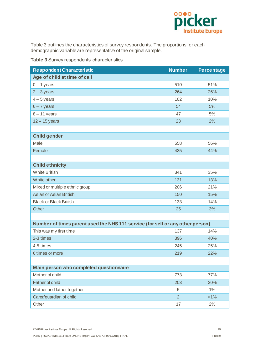

Table 3 outlines the characteristics of survey respondents. The proportions for each demographic variable are representative of the original sample.

| Table 3 Survey respondents' characteristics |
|---------------------------------------------|
|---------------------------------------------|

| <b>Respondent Characteristic</b>                                               | <b>Number</b>  | <b>Percentage</b> |
|--------------------------------------------------------------------------------|----------------|-------------------|
| Age of child at time of call                                                   |                |                   |
| $0 - 1$ years                                                                  | 510            | 51%               |
| $2 - 3$ years                                                                  | 264            | 26%               |
| $4 - 5$ years                                                                  | 102            | 10%               |
| $6 - 7$ years                                                                  | 54             | 5%                |
| $8 - 11$ years                                                                 | 47             | 5%                |
| $12 - 15$ years                                                                | 23             | 2%                |
|                                                                                |                |                   |
| <b>Child gender</b>                                                            |                |                   |
| Male                                                                           | 558            | 56%               |
| Female                                                                         | 435            | 44%               |
|                                                                                |                |                   |
| <b>Child ethnicity</b>                                                         |                |                   |
| <b>White British</b>                                                           | 341            | 35%               |
| White other                                                                    | 131            | 13%               |
| Mixed or multiple ethnic group                                                 | 206            | 21%               |
| <b>Asian or Asian British</b>                                                  | 150            | 15%               |
| <b>Black or Black British</b>                                                  | 133            | 14%               |
| <b>Other</b>                                                                   | 25             | 3%                |
|                                                                                |                |                   |
| Number of times parent used the NHS 111 service (for self or any other person) |                |                   |
| This was my first time                                                         | 137            | 14%               |
| 2-3 times                                                                      | 396            | 40%               |
| 4-5 times                                                                      | 245            | 25%               |
| 6 times or more                                                                | 219            | 22%               |
|                                                                                |                |                   |
| Main person who completed questionnaire                                        |                |                   |
| Mother of child                                                                | 773            | 77%               |
| Father of child                                                                | 203            | 20%               |
| Mother and father together                                                     | 5              | 1%                |
| Carer/guardian of child                                                        | $\overline{2}$ | $< 1\%$           |
| Other                                                                          | 17             | 2%                |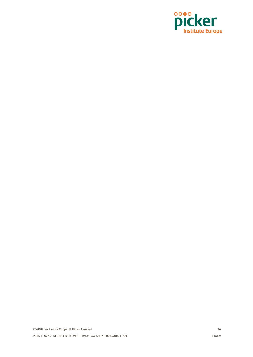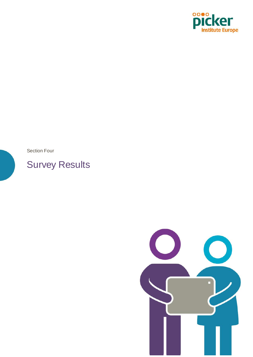

Section Four

Survey Results

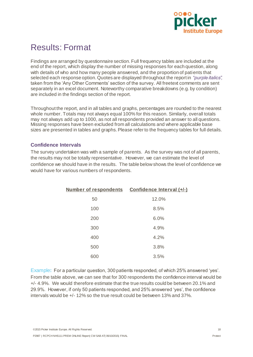

## Results: Format

Findings are arranged by questionnaire section. Full frequency tables are included at the end of the report, which display the number of missing responses for each question, along with details of who and how many people answered, and the proportion of patients that selected each response option. Quotes are displayed throughout the report in *"purple italics",* taken from the 'Any Other Comments' section of the survey. All freetext comments are sent separately in an excel document. Noteworthy comparative breakdowns (e.g. by condition) are included in the findings section of the report.

Throughout the report, and in all tables and graphs, percentages are rounded to the nearest whole number. Totals may not always equal 100% for this reason. Similarly, overall totals may not always add up to 1000, as not all respondents provided an answer to all questions. Missing responses have been excluded from all calculations and where applicable base sizes are presented in tables and graphs. Please refer to the frequency tables for full details.

#### **Confidence Intervals**

The survey undertaken was with a sample of parents. As the survey was not of all parents, the results may not be totally representative. However, we can estimate the level of confidence we should have in the results. The table below shows the level of confidence we would have for various numbers of respondents.

|     | Number of respondents Confidence Interval (+/-) |
|-----|-------------------------------------------------|
| 50  | 12.0%                                           |
| 100 | 8.5%                                            |
| 200 | 6.0%                                            |
| 300 | 4.9%                                            |
| 400 | 4.2%                                            |
| 500 | 3.8%                                            |
| 600 | 3.5%                                            |

Example**:** For a particular question, 300 patients responded, of which 25% answered 'yes'. From the table above, we can see that for 300 respondents the confidence interval would be +/- 4.9%. We would therefore estimate that the true results could be between 20.1% and 29.9%. However, if only 50 patients responded, and 25% answered 'yes', the confidence intervals would be +/- 12% so the true result could be between 13% and 37%.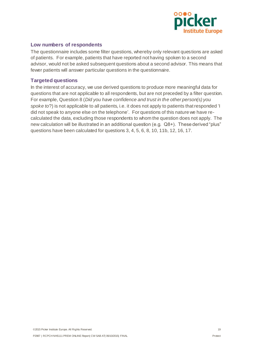

#### **Low numbers of respondents**

The questionnaire includes some filter questions, whereby only relevant questions are asked of patients. For example, patients that have reported not having spoken to a second advisor, would not be asked subsequent questions about a second advisor. This means that fewer patients will answer particular questions in the questionnaire.

#### **Targeted questions**

In the interest of accuracy, we use derived questions to produce more meaningful data for questions that are not applicable to all respondents, but are not preceded by a filter question. For example, Question 8 (*Did you have confidence and trust in the other person(s) you spoke to*?) is not applicable to all patients, i.e. it does not apply to patients that responded 'I did not speak to anyone else on the telephone'. For questions of this nature we have recalculated the data, excluding those respondents to whom the question does not apply. The new calculation will be illustrated in an additional question (e.g. Q8+). These derived "plus" questions have been calculated for questions 3, 4, 5, 6, 8, 10, 11b, 12, 16, 17.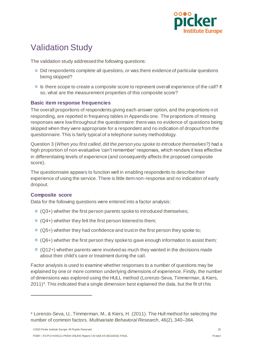

## Validation Study

The validation study addressed the following questions:

- o Did respondents complete all questions, or was there evidence of particular questions being skipped?
- <sup>o</sup> Is there scope to create a composite score to represent overall experience of the call? If so, what are the measurement properties of this composite score?

### **Basic item response frequencies**

The overall proportions of respondents giving each answer option, and the proportions not responding, are reported in frequency tables in Appendix one. The proportions of missing responses were low throughout the questionnaire: there was no evidence of questions being skipped when they were appropriate for a respondent and no indication of dropout from the questionnaire. This is fairly typical of a telephone survey methodology.

Question 3 (*When you first called, did the person you spoke to introduce themselves?)* had a high proportion of non-evaluative 'can't remember' responses, which renders it less effective in differentiating levels of experience (and consequently affects the proposed composite score).

The questionnaire appears to function well in enabling respondents to describe their experience of using the service. There is little item non-response and no indication of early dropout.

### **Composite score**

Data for the following questions were entered into a factor analysis:

- $\circ$  (Q3+) whether the first person parents spoke to introduced themselves;
- $\circ$  (Q4+) whether they felt the first person listened to them;
- $\circ$  (Q5+) whether they had confidence and trust in the first person they spoke to;
- (Q6+) whether the first person they spoke to gave enough information to assist them*;*
- $\circ$  (Q12+) whether parents were involved as much they wanted in the decisions made about their child's care or treatment during the call.

Factor analysis is used to examine whether responses to a number of questions may be explained by one or more common underlying dimensions of experience. Firstly, the number of dimensions was explored using the HULL method (Lorenzo-Seva, Timmerman, & Kiers, 2011)<sup>4</sup> . This indicated that a single dimension best explained the data, but the fit of this

 $\overline{a}$ 

<sup>4</sup> Lorenzo-Seva, U., Timmerman, M., & Kiers, H. (2011). The Hull method for selecting the number of common factors. *Multivariate Behavioral Research*, 46(2), 340–364.

<sup>©2015</sup> Picker Institute Europe. All Rights Reserved. 20

P2987 | RCPCH NHS111 PREM ONLINE Report| CW SAB ATI 06/10/2015| FINAL Protect Protect Protect Protect Protect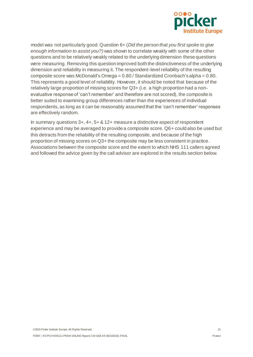

model was not particularly good. Question 6+ (*Did the person that you first spoke to give enough information to assist you?)* was shown to correlate weakly with some of the other questions and to be relatively weakly related to the underlying dimension these questions were measuring. Removing this question improved both the distinctiveness of the underlying dimension and reliability in measuring it. The respondent-level reliability of the resulting composite score was McDonald's Omega = 0.80 / Standardized Cronbach's alpha = 0.80. This represents a good level of reliability. However, it should be noted that because of the relatively large proportion of missing scores for Q3+ (i.e. a high proportion had a nonevaluative response of 'can't remember' and therefore are not scored), the composite is better suited to examining group differences rather than the experiences of individual respondents, as long as it can be reasonably assumed that the 'can't remember' responses are effectively random.

In summary questions  $3+$ ,  $4+$ ,  $5+$  &  $12+$  measure a distinctive aspect of respondent experience and may be averaged to provide a composite score. Q6+ could also be used but this detracts from the reliability of the resulting composite, and because of the high proportion of missing scores on Q3+ the composite may be less consistent in practice. Associations between the composite score and the extent to which NHS 111 callers agreed and followed the advice given by the call advisor are explored in the results section below.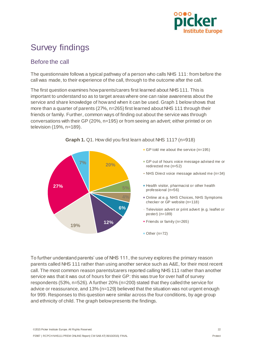

## Survey findings

## Before the call

The questionnaire follows a typical pathway of a person who calls NHS 111: from before the call was made, to their experience of the call, through to the outcome after the call.

The first question examines how parents/carers first learned about NHS 111. This is important to understand so as to target areas where one can raise awareness about the service and share knowledge of how and when it can be used. Graph 1 below shows that more than a quarter of parents (27%, n=265) first learned about NHS 111 through their friends or family. Further, common ways of finding out about the service was through conversations with their GP (20%, n=195) or from seeing an advert; either printed or on television (19%, n=189).



**Graph 1.** Q1. How did you first learn about NHS 111? (n=918)

To further understand parents' use of NHS 111, the survey explores the primary reason parents called NHS 111 rather than using another service such as A&E, for their most recent call. The most common reason parents/carers reported calling NHS 111 rather than another service was that it was out of hours for their GP: this was true for over half of survey respondents (53%, n=526). A further 20% (n=200) stated that they called the service for advice or reassurance, and 13% (n=129) believed that the situation was not urgent enough for 999. Responses to this question were similar across the four conditions, by age group and ethnicity of child. The graph below presents the findings.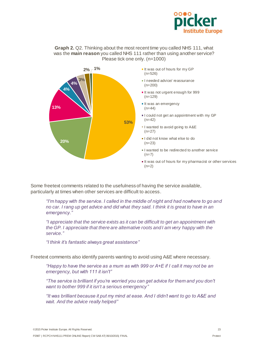

**Graph 2.** Q2. Thinking about the most recent time you called NHS 111, what was the **main reason** you called NHS 111 rather than using another service? Please tick one only. (n=1000)



Some freetext comments related to the usefulness of having the service available, particularly at times when other services are difficult to access.

*"I'm happy with the service. I called in the middle of night and had nowhere to go and no car. I rang up get advice and did what they said. I think it is great to have in an emergency."*

*"I appreciate that the service exists as it can be difficult to get an appointment with the GP. I appreciate that there are alternative roots and I am very happy with the service."*

*"I think it's fantastic always great assistance"*

Freetext comments also identify parents wanting to avoid using A&E where necessary.

*"Happy to have the service as a mum as with 999 or A+E if I call it may not be an emergency, but with 111 it isn't"*

*"The service is brilliant if you're worried you can get advice for them and you don't want to bother 999 if it isn't a serious emergency"*

*"It was brilliant because it put my mind at ease. And I didn't want to go to A&E and wait. And the advice really helped"*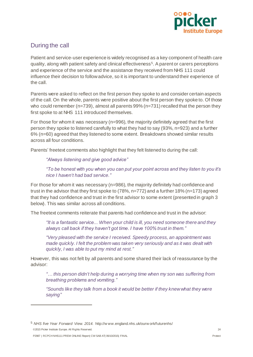

## During the call

Patient and service-user experience is widely recognised as a key component of health care quality, along with patient safety and clinical effectiveness<sup>5</sup>. A parent or carers perceptions and experience of the service and the assistance they received from NHS 111 could influence their decision to follow advice, so it is important to understand their experience of the call.

Parents were asked to reflect on the first person they spoke to and consider certain aspects of the call. On the whole, parents were positive about the first person they spoke to. Of those who could remember ( $n=739$ ), almost all parents 99% ( $n=731$ ) recalled that the person they first spoke to at NHS 111 introduced themselves.

For those for whom it was necessary (n=996), the majority definitely agreed that the first person they spoke to listened carefully to what they had to say (93%, n=923) and a further 6% (n=60) agreed that they listened to some extent. Breakdowns showed similar results across all four conditions.

Parents' freetext comments also highlight that they felt listened to during the call:

*"Always listening and give good advice"*

*"To be honest with you when you can put your point across and they listen to you it's nice I haven't had bad service."*

For those for whom it was necessary (n=986), the majority definitely had confidence and trust in the advisor that they first spoke to (78%, n=772) and a further 18% (n=173) agreed that they had confidence and trust in the first advisor to some extent (presented in graph 3 below). This was similar across all conditions.

The freetext comments reiterate that parents had confidence and trust in the advisor:

*"It is a fantastic service... When your child is ill, you need someone there and they always call back if they haven't got time. I have 100% trust in them."*

*"Very pleased with the service I received. Speedy process, an appointment was made quickly. I felt the problem was taken very seriously and as it was dealt with quickly, I was able to put my mind at rest."*

However, this was not felt by all parents and some shared their lack of reassurance by the advisor:

*"… this person didn't help during a worrying time when my son was suffering from breathing problems and vomiting."*

*"Sounds like they talk from a book it would be better if they knew what they were saying"*

 $\overline{a}$ 

<sup>©2015</sup> Picker Institute Europe. All Rights Reserved. 24 <sup>5</sup> *NHS five Year Forward View. 2014.* http://w ww.england.nhs.uk/ourw ork/futurenhs/

P2987 | RCPCH NHS111 PREM ONLINE Report| CW SAB ATI 06/10/2015| FINAL Protect Protect Protect Protect Protect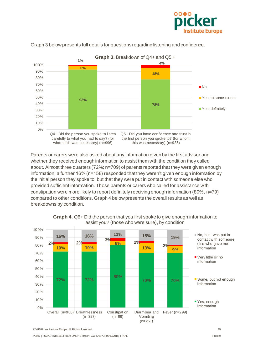



Graph 3 below presents full details for questions regarding listening and confidence.

Parents or carers were also asked about any information given by the first advisor and whether they received enough information to assist them with the condition they called about. Almost three quarters (72%; n=709) of parents reported that they were given enough information, a further 16% (n=158) responded that they weren't given enough information by the initial person they spoke to, but that they were put in contact with someone else who provided sufficient information. Those parents or carers who called for assistance with constipation were more likely to report definitely receiving enough information (80%, n=79) compared to other conditions. Graph 4 below presents the overall results as well as breakdowns by condition.



**Graph 4.** Q6+ Did the person that you first spoke to give enough information to assist you? (those who were sure), by condition

©2015 Picker Institute Europe. All Rights Reserved. 25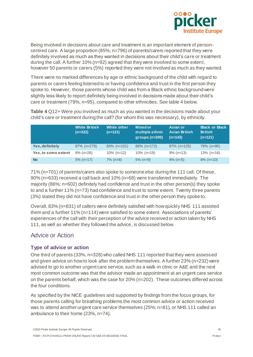

Being involved in decisions about care and treatment is an important element of personcentred care. A large proportion (85%; n=796) of parents/carers reported that they were definitely involved as much as they wanted in decisions about their child's care or treatment during the call. A further 10% (n=92) agreed that they were involved to some extent, however 50 parents or carers (5%) reported they were not involved as much as they wanted.

There were no marked differences by age or ethnic background of the child with regard to parents or carers feeling listened to or having confidence and trust in the first person they spoke to. However, those parents whose child was from a Black ethnic background were slightly less likely to report definitely being involved in decisions made about their child's care or treatment (79%, n=95), compared to other ethnicities. See table 4 below.

child's care or treatment during the call? (for whom this was necessary), by ethnicity. **White British (n=322) White other (n=121) Mixed or multiple ethnic Asian or Asian British Black or Black British** 

**Table 4** Q12+ Were you involved as much as you wanted in the decisions made about your

|                     | (n=322)      | (n=121)        | multiple ethnic<br>$groups (n=200)$ | ASIAN British<br>$(n=143)$ | <b>British</b><br>$(n=121)$ |
|---------------------|--------------|----------------|-------------------------------------|----------------------------|-----------------------------|
| Yes, definitely     | 87% (n=279)  | $83\%$ (n=101) | $86\%$ (n=172)                      | $87\%$ (n=125)             | 79% (n=95)                  |
| Yes, to some extent | 8% (n=26)    | $10\%$ (n=12)  | $10\%$ (n=19)                       | $9\%$ (n=13)               | $13\%$ (n=16)               |
| <b>No</b>           | $5\%$ (n=17) | 7% (n=8)       | $5\%$ (n=9)                         | 4% $(n=5)$                 | $8\%$ (n=10)                |

71% (n=701) of parents/carers also spoke to someone else during the 111 call. Of these, 90% (n=633) received a call back and 10% (n=68) were transferred immediately. The majority (86%; n=602) definitely had confidence and trust in the other person(s) they spoke to and a further 11% (n=73) had confidence and trust to some extent. Twenty three parents (3%) stated they did not have confidence and trust in the other person they spoke to.

Overall, 83% (n=831) of callers were definitely satisfied with how quickly NHS 111 assisted them and a further 11% (n=114) were satisfied to some extent. Associations of parents' experiences of the call with their perception of the advice received or action taken by NHS 111, as well as whether they followed the advice, is discussed below.

## Advice or Action

### **Type of advice or action**

One third of parents (33%, n=328) who called NHS 111 reported that they were assessed and given advice on how to look after the problem themselves. A further 23% (n=232) were advised to go to another urgent care service, such as a walk-in clinic or A&E and the next most common outcome was that the advisor made an appointment at an urgent care service on the parents behalf, which was the case for 20% (n=202). These outcomes differed across the four conditions.

As specified by the NICE guidelines and supported by findings from the focus groups, for those parents calling for breathing problems the most common advice or action received was to attend another urgent care service themselves (25%; n=81), or NHS 111 called an ambulance to their home (23%, n=74).

<sup>©2015</sup> Picker Institute Europe. All Rights Reserved. 26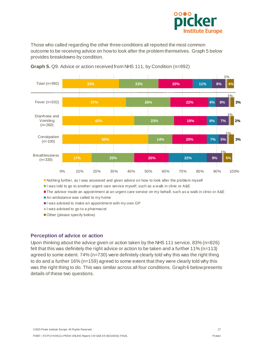

Those who called regarding the other three conditions all reported the most common outcome to be receiving advice on how to look after the problem themselves. Graph 5 below provides breakdowns by condition.





Nothing further, as I was assessed and given advice on how to look after the problem myself

 $\blacksquare$ I was told to go to another urgent care service myself, such as a walk in clinic or A&E

The advisor made an appointment at an urgent care service on my behalf, such as a walk in clinic or A&E

- An ambulance was called to my home
- I was advised to make an appointment with my own GP
- I was advised to go to a pharmacist
- Other (please specify below)

#### **Perception of advice or action**

Upon thinking about the advice given or action taken by the NHS 111 service, 83% (n=826) felt that this was definitely the right advice or action to be taken and a further 11% (n=113) agreed to some extent. 74% (n=730) were definitely clearly told why this was the right thing to do and a further 16% (n=159) agreed to some extent that they were clearly told why this was the right thing to do. This was similar across all four conditions. Graph 6 below presents details of these two questions.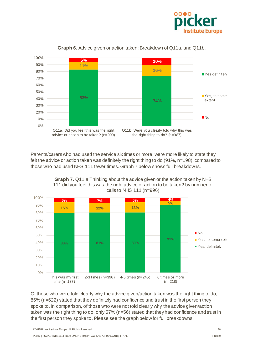



#### **Graph 6.** Advice given or action taken: Breakdown of Q11a. and Q11b.

Parents/carers who had used the service six times or more, were more likely to state they felt the advice or action taken was definitely the right thing to do (91%, n=198), compared to those who had used NHS 111 fewer times. Graph 7 below shows full breakdowns.



**Graph 7.** Q11.a Thinking about the advice given or the action taken by NHS 111 did you feel this was the right advice or action to be taken? by number of

Of those who were told clearly why the advice given/action taken was the right thing to do, 86% (n=622) stated that they definitely had confidence and trust in the first person they spoke to. In comparison, of those who were not told clearly why the advice given/action taken was the right thing to do, only 57% (n=56) stated that they had confidence and trust in the first person they spoke to. Please see the graph below for full breakdowns.

©2015 Picker Institute Europe. All Rights Reserved. 28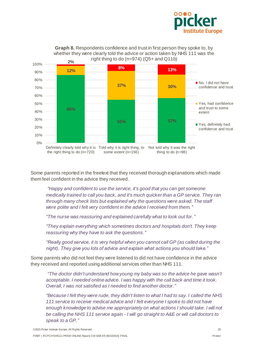



Some parents reported in the freetext that they received thorough explanations which made them feel confident in the advice they received.

*"Happy and confident to use the service, it's good that you can get someone medically trained to call you back, and it's much quicker than a GP service. They ran through many check lists but explained why the questions were asked. The staff were polite and I felt very confident in the advice I received from them."*

*"The nurse was reassuring and explained carefully what to look out for."*

*"They explain everything which sometimes doctors and hospitals don't. They keep reassuring why they have to ask the questions."*

*"Really good service, it is very helpful when you cannot call GP (as called during the night). They give you lots of advice and explain what actions you should take."*

Some parents who did not feel they were listened to did not have confidence in the advice they received and reported using additional services other than NHS 111.

*"The doctor didn't understand how young my baby was so the advice he gave wasn't acceptable. I needed online advice. I was happy with the call back and time it took. Overall, I was not satisfied as I needed to find another doctor."*

*"Because I felt they were rude, they didn't listen to what I had to say. I called the NHS 111 service to receive medical advice and I felt everyone I spoke to did not have*  enough knowledge to advise me appropriately on what actions I should take. I will not *be calling the NHS 111 service again - I will go straight to A&E or will call doctors to speak to a GP."*

<sup>©2015</sup> Picker Institute Europe. All Rights Reserved. 29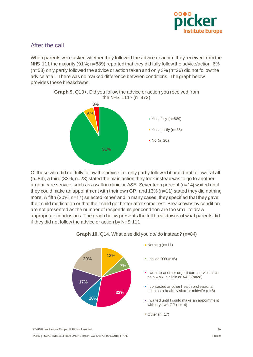

## After the call

When parents were asked whether they followed the advice or action they received from the NHS 111 the majority (91%; n=889) reported that they did fully follow the advice/action. 6% (n=58) only partly followed the advice or action taken and only 3% (n=26) did not follow the advice at all. There was no marked difference between conditions. The graph below provides these breakdowns.



**Graph 9.** Q13+. Did you follow the advice or action you received from the NHS 111? (n=973)

Of those who did not fully follow the advice i.e. only partly followed it or did not follow it at all (n=84), a third (33%, n=28) stated the main action they took instead was to go to another urgent care service, such as a walk in clinic or A&E. Seventeen percent (n=14) waited until they could make an appointment with their own GP, and 13% (n=11) stated they did nothing more. A fifth (20%, n=17) selected 'other' and in many cases, they specified that they gave their child medication or that their child got better after some rest. Breakdowns by condition are not presented as the number of respondents per condition are too small to draw appropriate conclusions. The graph below presents the full breakdowns of what parents did if they did not follow the advice or action by NHS 111.



**Graph 10.** Q14. What else did you do/ do instead? (n=84)

©2015 Picker Institute Europe. All Rights Reserved. 30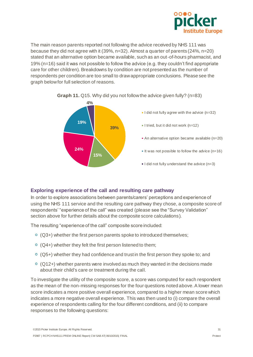

The main reason parents reported not following the advice received by NHS 111 was because they did not agree with it (39%, n=32). Almost a quarter of parents (24%, n=20) stated that an alternative option became available, such as an out-of-hours pharmacist, and 19% (n=16) said it was not possible to follow the advice (e.g. they couldn't find appropriate care for other children). Breakdowns by condition are not presented as the number of respondents per condition are too small to draw appropriate conclusions. Please see the graph below for full selection of reasons.



### **Graph 11.** Q15. Why did you not follow the advice given fully? (n=83)

#### **Exploring experience of the call and resulting care pathway**

In order to explore associations between parents/carers' perceptions and experience of using the NHS 111 service and the resulting care pathway they chose, a composite score of respondents' "experience of the call" was created (please see the "Survey Validation" section above for further details about the composite score calculations).

The resulting "experience of the call" composite score included:

- $\circ$  (Q3+) whether the first person parents spoke to introduced themselves;
- $\circ$  (Q4+) whether they felt the first person listened to them;
- $\circ$  (Q5+) whether they had confidence and trust in the first person they spoke to; and
- $\circ$  (Q12+) whether parents were involved as much they wanted in the decisions made about their child's care or treatment during the call.

To investigate the utility of the composite score, a score was computed for each respondent as the mean of the non-missing responses for the four questions noted above. A lower mean score indicates a more positive overall experience, compared to a higher mean score which indicates a more negative overall experience. This was then used to (i) compare the overall experience of respondents calling for the four different conditions, and (ii) to compare responses to the following questions: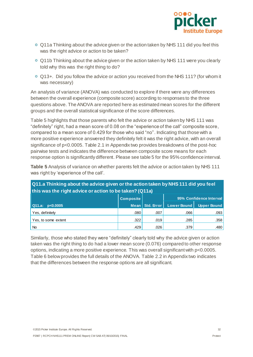

- Q11a Thinking about the advice given or the action taken by NHS 111 did you feel this was the right advice or action to be taken?
- Q11b Thinking about the advice given or the action taken by NHS 111 were you clearly told why this was the right thing to do?
- Q13+. Did you follow the advice or action you received from the NHS 111? (for whom it was necessary)

An analysis of variance (ANOVA) was conducted to explore if there were any differences between the overall experience (composite score) according to responses to the three questions above. The ANOVA are reported here as estimated mean scores for the different groups and the overall statistical significance of the score differences.

Table 5 highlights that those parents who felt the advice or action taken by NHS 111 was "definitely" right, had a mean score of 0.08 on the "experience of the call" composite score, compared to a mean score of 0.429 for those who said "no". Indicating that those with a more positive experience answered they definitely felt it was the right advice, with an overall significance of p<0.0005. Table 2.1 in Appendix two provides breakdowns of the post-hoc pairwise tests and indicates the difference between composite score means for each response option is significantly different. Please see table 5 for the 95% confidence interval.

| Q11.a Thinking about the advice given or the action taken by NHS 111 did you feel<br>this was the right advice or action to be taken? (Q11a) |      |                   |             |                    |  |  |
|----------------------------------------------------------------------------------------------------------------------------------------------|------|-------------------|-------------|--------------------|--|--|
| 95% Confidence Interval<br><b>Composite</b>                                                                                                  |      |                   |             |                    |  |  |
| Q11.a: p<0.0005                                                                                                                              |      | Mean   Std. Error | Lower Bound | <b>Upper Bound</b> |  |  |
| Yes, definitely                                                                                                                              | .080 | .007              | .066        | .093               |  |  |
| Yes, to some extent                                                                                                                          | .322 | .019              | .285        | .358               |  |  |
| <b>No</b>                                                                                                                                    | .429 | .026              | .379        | .480               |  |  |

**Table 5** Analysis of variance on whether parents felt the advice or action taken by NHS 111 was right by 'experience of the call'.

Similarly, those who stated they were "definitely" clearly told why the advice given or action taken was the right thing to do had a lower mean score (0.076) compared to other response options, indicating a more positive experience. This was overall significant with p<0.0005. Table 6 below provides the full details of the ANOVA. Table 2.2 in Appendix two indicates that the differences between the response options are all significant.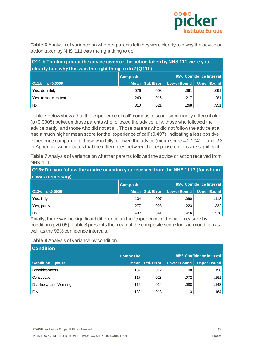

**Table 6** Analysis of variance on whether parents felt they were clearly told why the advice or action taken by NHS 111 was the right thing to do.

#### **Q11.b Thinking about the advice given or the action taken by NHS 111 were you clearly told why this was the right thing to do? (Q11b) Q11.b: p<0.0005 Composite Mean Std. Error 95% Confidence Interval Lower Bound Upper Bound** Yes, definitely .076 .008 .061 .091 Yes, to some extent ... 249 .016 .247 .281

Table 7 below shows that the 'experience of call" composite score significantly differentiated (p<0.0005) between those parents who followed the advice fully, those who followed the advice partly, and those who did not at all. Those parents who did not follow the advice at all had a much higher mean score for the 'experience of call' (0.497), indicating a less positive experience compared to those who fully followed the advice (mean score = 0.104). Table 2.3 in Appendix two indicates that the differences between the response options are significant.

No .268 .351 .268 .351 .310 .021 .268 .351

**Table 7** Analysis of variance on whether parents followed the advice or action received from NHS 111.

| Q13+ Did you follow the advice or action you received from the NHS 111? (for whom |
|-----------------------------------------------------------------------------------|
| it was necessary)                                                                 |

|                               | <b>Composite</b> |                 | 95% Confidence Interval |                   |
|-------------------------------|------------------|-----------------|-------------------------|-------------------|
| $\parallel$ Q13+:<br>p<0.0005 |                  | Mean Std. Error | <b>Lower Bound</b>      | Upper Bound       |
| Yes, fully                    | .104'            | .007            | .090                    | .118'             |
| Yes, partly                   | .277             | .028            | .223                    | .332              |
| <b>No</b>                     | .497             | .041            | .416                    | .578 <sup>1</sup> |

Finally, there was no significant difference on the "experience of the call" measure by condition (p>0.05). Table 8 presents the mean of the composite score for each condition as well as the 95% confidence intervals.

**Table 8** Analysis of variance by condition.

| <b>Condition</b>       |                  |                   |                         |                    |  |
|------------------------|------------------|-------------------|-------------------------|--------------------|--|
|                        | <b>Composite</b> |                   | 95% Confidence Interval |                    |  |
| Condition: p=0.596     | <b>Mean</b>      | <b>Std. Error</b> | <b>Lower Bound</b>      | <b>Upper Bound</b> |  |
| <b>Breathlessness</b>  | .132             | .012              | .108                    | .156               |  |
| Constipation           | .117             | .023              | .072                    | .161               |  |
| Diarrhoea and Vomiting | .115             | .014              | .088                    | .143               |  |
| Fever                  | .139             | .013              | .113                    | .164               |  |

©2015 Picker Institute Europe. All Rights Reserved. 33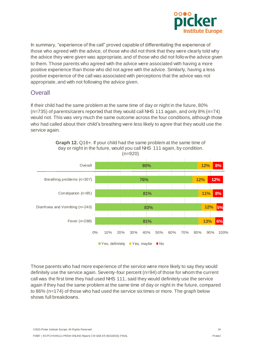

In summary, "experience of the call" proved capable of differentiating the experience of those who agreed with the advice, of those who did not think that they were clearly told why the advice they were given was appropriate, and of those who did not follow the advice given to them. Those parents who agreed with the advice were associated with having a more positive experience than those who did not agree with the advice. Similarly, having a less positive experience of the call was associated with perceptions that the advice was not appropriate, and with not following the advice given.

## **Overall**

If their child had the same problem at the same time of day or night in the future, 80% (n=735) of parents/carers reported that they would call NHS 111 again, and only 8% (n=74) would not. This was very much the same outcome across the four conditions, although those who had called about their child's breathing were less likely to agree that they would use the service again.



**Graph 12.** Q16+. If your child had the same problem at the same time of day or night in the future, would you call NHS 111 again, by condition.

Those parents who had more experience of the service were more likely to say they would definitely use the service again. Seventy-four percent (n=94) of those for whom the current call was the first time they had used NHS 111, said they would definitely use the service again if they had the same problem at the same time of day or night in the future, compared to 86% (n=174) of those who had used the service six times or more. The graph below shows full breakdowns.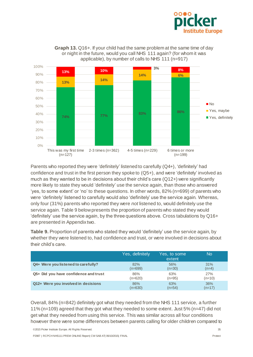



**Graph 13.** Q16+. If your child had the same problem at the same time of day or night in the future, would you call NHS 111 again? (for whom it was

Parents who reported they were 'definitely' listened to carefully (Q4+), 'definitely' had confidence and trust in the first person they spoke to (Q5+), and were 'definitely' involved as much as they wanted to be in decisions about their child's care  $(Q12+)$  were significantly more likely to state they would 'definitely' use the service again, than those who answered 'yes, to some extent' or 'no' to these questions. In other words, 82% (n=699) of parents who were 'definitely' listened to carefully would also 'definitely' use the service again. Whereas, only four (31%) parents who reported they were *not* listened to, would definitely use the service again. Table 9 below presents the proportion of parents who stated they would 'definitely' use the service again, by the three questions above. Cross tabulations by Q16+ are presented in Appendix two.

**Table 9.** Proportion of parents who stated they would 'definitely' use the service again, by whether they were listened to, had confidence and trust, or were involved in decisions about their child's care.

|                                       | Yes, definitely | Yes, to some<br>extent | No       |
|---------------------------------------|-----------------|------------------------|----------|
| Q4+ Were you listened to carefully?   | 82%             | 56%                    | 31%      |
|                                       | $(n=699)$       | $(n=30)$               | $(n=4)$  |
| Q5+ Did you have confidence and trust | 86%             | 63%                    | 27%      |
|                                       | $(n=620)$       | (n=95)                 | $(n=10)$ |
| Q12+ Were you involved in decisions   | 86%             | 63%                    | 36%      |
|                                       | $(n=630)$       | (n=54)                 | $(n=17)$ |

Overall, 84% (n=842) definitely got what they needed from the NHS 111 service, a further 11% (n=109) agreed that they got what they needed to some extent. Just 5% (n=47) did not get what they needed from using this service. This was similar across all four conditions however there were some differences between parents calling for older children compared to

©2015 Picker Institute Europe. All Rights Reserved. 35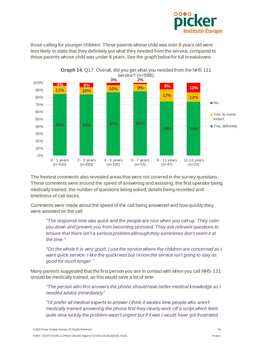

those calling for younger children. Those parents whose child was over 8 years old were less likely to state that they definitely got what they needed from the service, compared to those parents whose child was under 8 years. See the graph below for full breakdowns.



The freetext comments also revealed areas that were not covered in the survey questions. These comments were around the speed of answering and assisting, the first operator being medically trained, the number of questions being asked, details being recorded and timeliness of call backs.

Comments were made about the speed of the call being answered and how quickly they were assisted on the call.

*"The response time was quick and the people are nice when you call up. They calm you down and prevent you from becoming stressed. They ask relevant questions to ensure that there isn't a serious problem although they sometimes don't seem it at the time."*

*"On the whole it is very good. I use the service where the children are concerned as I want quick service. I like the quickness but I know the service isn't going to stay as good for much longer."*

Many parents suggested that the first person you are in contact with when you call NHS 111 should be medically trained, as this would save a lot of time

*"The person who first answers the phone should have better medical knowledge as I needed advice immediately"*

*"I'd prefer all medical experts to answer I think it wastes time people who aren't medically trained answering the phone first they clearly work off a script which feels quite slow luckily the problem wasn't urgent but if it was I would have got frustrated* 

<sup>©2015</sup> Picker Institute Europe. All Rights Reserved. 36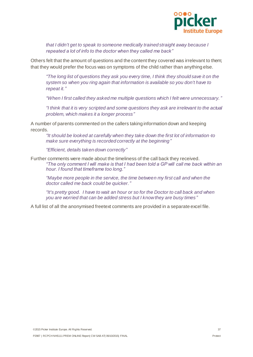

*that I didn't get to speak to someone medically trained straight away because I repeated a lot of info to the doctor when they called me back"*

Others felt that the amount of questions and the content they covered was irrelevant to them; that they would prefer the focus was on symptoms of the child rather than anything else.

*"The long list of questions they ask you every time, I think they should save it on the system so when you ring again that information is available so you don't have to repeat it."*

*"When I first called they asked me multiple questions which I felt were unnecessary."*

*"I think that it is very scripted and some questions they ask are irrelevant to the actual problem, which makes it a longer process"*

A number of parents commented on the callers taking information down and keeping records.

*"It should be looked at carefully when they take down the first lot of information-to make sure everything is recorded correctly at the beginning"*

*"Efficient, details taken down correctly"*

Further comments were made about the timeliness of the call back they received. *"The only comment I will make is that I had been told a GP will call me back within an hour. I found that timeframe too long."*

*"Maybe more people in the service, the time between my first call and when the doctor called me back could be quicker."*

*"It's pretty good. I have to wait an hour or so for the Doctor to call back and when you are worried that can be added stress but I know they are busy times"*

A full list of all the anonymised freetext comments are provided in a separate excel file.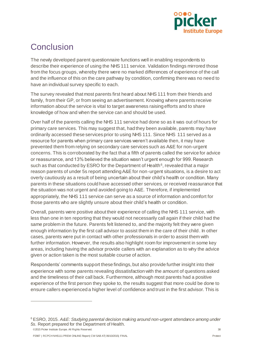

## Conclusion

The newly developed parent questionnaire functions well in enabling respondents to describe their experience of using the NHS 111 service. Validation findings mirrored those from the focus groups, whereby there were no marked differences of experience of the call and the influence of this on the care pathway by condition, confirming there was no need to have an individual survey specific to each.

The survey revealed that most parents first heard about NHS 111 from their friends and family, from their GP, or from seeing an advertisement. Knowing where parents receive information about the service is vital to target awareness raising efforts and to share knowledge of how and when the service can and should be used.

Over half of the parents calling the NHS 111 service had done so as it was out of hours for primary care services. This may suggest that, had they been available, parents may have ordinarily accessed these services prior to using NHS 111. Since NHS 111 served as a resource for parents when primary care services weren't available then, it may have prevented them from relying on secondary care services such as A&E for non-urgent concerns. This is corroborated by the fact that a fifth of parents called the service for advice or reassurance, and 13% believed the situation wasn't urgent enough for 999. Research such as that conducted by ESRO for the Department of Health<sup>6</sup>, revealed that a major reason parents of under 5s report attending A&E for non-urgent situations, is a desire to act overly cautiously as a result of being uncertain about their child's health or condition. Many parents in these situations could have accessed other services, or received reassurance that the situation was not urgent and avoided going to A&E. Therefore, if implemented appropriately, the NHS 111 service can serve as a source of information and comfort for those parents who are slightly unsure about their child's health or condition.

Overall, parents were positive about their experience of calling the NHS 111 service, with less than one in ten reporting that they would not necessarily call again if their child had the same problem in the future. Parents felt listened to, and the majority felt they were given enough information by the first call advisor to assist them in the care of their child. In other cases, parents were put in contact with other professionals in order to assist them with further information. However, the results also highlight room for improvement in some key areas, including having the advisor provide callers with an explanation as to why the advice given or action taken is the most suitable course of action.

Respondents' comments support these findings, but also provide further insight into their experience with some parents revealing dissatisfaction with the amount of questions asked and the timeliness of their call back. Furthermore, although most parents had a positive experience of the first person they spoke to, the results suggest that more could be done to ensure callers experienced a higher level of confidence and trust in the first advisor. This is

j

<sup>6</sup> ESRO, 2015. *A&E: Studying parental decision making around non-urgent attendance among under 5s.* Report prepared for the Department of Health.

<sup>©2015</sup> Picker Institute Europe. All Rights Reserved. 38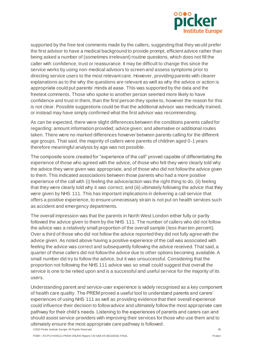

supported by the free text comments made by the callers, suggesting that they would prefer the first advisor to have a medical background to provide prompt, efficient advice rather than being asked a number of (sometimes irrelevant) routine questions, which does not fill the caller with confidence, trust or reassurance. It may be difficult to change this since the service works by using non-medical advisors to screen and assess symptoms prior to directing service users to the most relevant care. However, providing parents with clearer explanations as to the why the questions are relevant as well as why the advice or action is appropriate could put parents' minds at ease. This was supported by the data and the freetext comments. Those who spoke to another person seemed more likely to have confidence and trust in them, than the first person they spoke to, however the reason for this is not clear. Possible suggestions could be that the additional advisor was medically trained, or instead may have simply confirmed what the first advisor was recommending.

As can be expected, there were slight differences between the conditions parents called for regarding: amount information provided; advice given; and alternative or additional routes taken. There were no marked differences however between parents calling for the different age groups. That said, the majority of callers were parents of children aged 0-1 years therefore meaningful analysis by age was not possible.

The composite score created for "experience of the call" proved capable of differentiating the experience of those who agreed with the advice, of those who felt they were clearly told why the advice they were given was appropriate, and of those who did not follow the advice given to them. This indicated associations between those parents who had a more positive experience of the call with (i) feeling the advice/action was the right thing to do, (ii) feeling that they were clearly told why it was correct, and (iii) ultimately following the advice that they were given by NHS 111. This has important implications in delivering a call service that offers a positive experience, to ensure unnecessary strain is not put on health services such as accident and emergency departments.

The overall impression was that the parents in North West London either fully or partly followed the advice given to them by the NHS 111. The number of callers who did not follow the advice was a relatively small proportion of the overall sample (less than ten percent). Over a third of those who did not follow the advice reported they did not fully agree with the advice given. As noted above having a positive experience of the call was associated with feeling the advice was correct and subsequently following the advice received. That said, a quarter of these callers did not follow the advice due to other options becoming available. A small number did try to follow the advice, but it was unsuccessful. Considering that the proportion not following the NHS 111 advice was so small could suggest that overall the service is one to be relied upon and is a successful and useful service for the majority of its users.

Understanding parent and service-user experience is widely recognised as a key component of health care quality. The PREM proved a useful tool to understand parents and carers' experiences of using NHS 111 as well as providing evidence that their overall experience could influence their decision to follow advice and ultimately follow the most appropriate care pathway for their child's needs. Listening to the experiences of parents and carers can and should assist service-providers with improving their services for those who use them and to ultimately ensure the most appropriate care pathway is followed.

©2015 Picker Institute Europe. All Rights Reserved. 39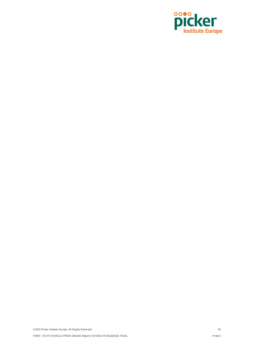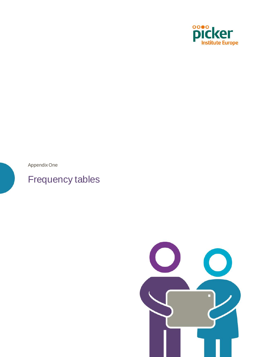

Appendix One

# Frequency tables

©2015 Picker Institute Europe. All Rights Reserved. 41 P2987 | RCPCH NHS111 PREM ONLINE Report| CW SAB AT| 06/10/2015| FINAL Protect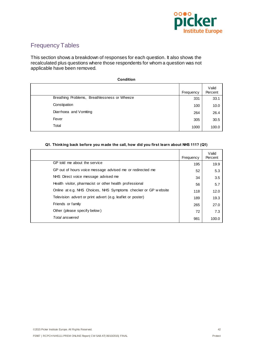

## Frequency Tables

This section shows a breakdown of responses for each question. It also shows the recalculated plus questions where those respondents for whom a question was not applicable have been removed.

| <b>Condition</b>                             |           |                  |
|----------------------------------------------|-----------|------------------|
|                                              | Frequency | Valid<br>Percent |
| Breathing Problems, Breathlessness or Wheeze | 331       | 33.1             |
| Constipation                                 | 100       | 10.0             |
| Diarrhoea and Vomiting                       | 264       | 26.4             |
| Fever                                        | 305       | 30.5             |
| Total                                        | 1000      | 100.0            |

#### **Q1. Thinking back before you made the call, how did you first learn about NHS 111? (Q1)**

|                                                                | Frequency | Valid<br>Percent |
|----------------------------------------------------------------|-----------|------------------|
| GP told me about the service                                   | 195       | 19.9             |
| GP out of hours voice message advised me or redirected me      | 52        | 5.3              |
| NHS Direct voice message advised me                            | 34        | 3.5              |
| Health visitor, pharmacist or other health professional        | 56        | 5.7              |
| Online at e.g. NHS Choices, NHS Symptoms checker or GP website | 118       | 12.0             |
| Television advert or print advert (e.g. leaflet or poster)     | 189       | 19.3             |
| Friends or family                                              | 265       | 27.0             |
| Other (please specify below)                                   | 72        | 7.3              |
| Total answered                                                 | 981       | 100.0            |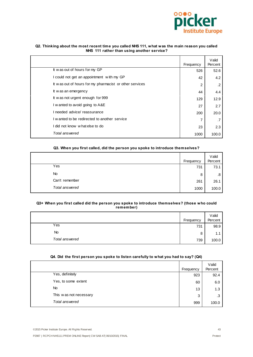

#### **Q2. Thinking about the most recent time you called NHS 111, what was the main reason you called NHS 111 rather than using another service?**

|                                                         | Frequency | Valid<br>Percent |
|---------------------------------------------------------|-----------|------------------|
| It was out of hours for my GP                           | 526       | 52.6             |
| I could not get an appointment with my GP               | 42        | 4.2              |
| It was out of hours for my pharmacist or other services | 2         | .2               |
| It was an emergency                                     | 44        | 4.4              |
| It was not urgent enough for 999                        | 129       | 12.9             |
| I w anted to avoid going to A&E                         | 27        | 2.7              |
| needed advice/ reassurance                              | 200       | 20.0             |
| w anted to be redirected to another service             | 7         |                  |
| did not know what else to do                            | 23        | 2.3              |
| Total answered                                          | 1000      | 100.0            |

#### **Q3. When you first called, did the person you spoke to introduce themselves?**

|                | Frequency | Valid<br>Percent |
|----------------|-----------|------------------|
| Yes            | 731       | 73.1             |
| No             | 8         | .8               |
| Can't remember | 261       | 26.1             |
| Total answered | 1000      | 100.0            |

#### **Q3+ When you first called did the person you spoke to introduce themselves? (those who could remember)**

|                | Frequency | Valid<br>Percent |
|----------------|-----------|------------------|
| Yes            | 731       | 98.9             |
| No             | 8         | 1.1              |
| Total answered | 739       | 100.0            |

#### **Q4. Did the first person you spoke to listen carefully to what you had to say? (Q4)**

|                        | Frequency | Valid<br>Percent |
|------------------------|-----------|------------------|
| Yes, definitely        | 923       | 92.4             |
| Yes, to some extent    | 60        | 6.0              |
| <b>No</b>              | 13        | 1.3              |
| This was not necessary | 3         | .3               |
| Total answered         | 999       | 100.0            |

©2015 Picker Institute Europe. All Rights Reserved. 43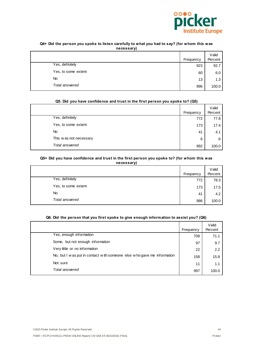

#### **Q4+ Did the person you spoke to listen carefully to what you had to say? (for whom this was necessary)**

|                     | Frequency | Valid<br>Percent |
|---------------------|-----------|------------------|
| Yes, definitely     | 923       | 92.7             |
| Yes, to some extent | 60        | 6.0              |
| <b>No</b>           | 13        | 1.3              |
| Total answered      | 996       | 100.0            |

|                        | Frequency | Valid<br>Percent |
|------------------------|-----------|------------------|
| Yes, definitely        | 772       | 77.8             |
| Yes, to some extent    | 173       | 17.4             |
| No.                    | 41        | 4.1              |
| This was not necessary | 6         | .6               |
| Total answered         | 992       | 100.0            |

#### **Q5. Did you have confidence and trust in the first person you spoke to? (Q5)**

#### **Q5+ Did you have confidence and trust in the first person you spoke to? (for whom this was necessary)**

| lecessary) |
|------------|
|------------|

|                     | Frequency | Valid<br>Percent |
|---------------------|-----------|------------------|
| Yes, definitely     | 772       | 78.3             |
| Yes, to some extent | 173       | 17.5             |
| <b>No</b>           | 41        | 4.2              |
| Total answered      | 986       | 100.0            |

#### **Q6. Did the person that you first spoke to give enough information to assist you? (Q6)**

|                                                                          | Frequency | Valid<br>Percent |
|--------------------------------------------------------------------------|-----------|------------------|
| Yes, enough information                                                  | 709       | 71.1             |
| Some, but not enough information                                         | 97        | 9.7              |
| Very little or no information                                            | 22        | 2.2              |
| No, but I w as put in contact with someone else w ho gave me information | 158       | 15.8             |
| Not sure                                                                 | 11        | 1.1              |
| Total answered                                                           | 997       | 100.0            |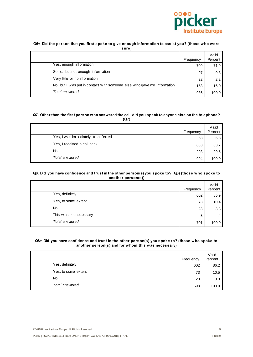

#### **Q6+ Did the person that you first spoke to give enough information to assist you? (those who were sure)**

|                                                                          | Frequency | Valid<br>Percent |
|--------------------------------------------------------------------------|-----------|------------------|
| Yes, enough information                                                  | 709       | 71.9             |
| Some, but not enough information                                         | 97        | 9.8              |
| Very little or no information                                            | 22        | 2.2              |
| No, but I w as put in contact with someone else w ho gave me information | 158       | 16.0             |
| Total answered                                                           | 986       | 100.0            |

### **Q7. Other than the first person who answered the call, did you speak to anyone else on the telephone?**

**(Q7)**

|                                     | Frequency | Valid<br>Percent |
|-------------------------------------|-----------|------------------|
| Yes, I w as immediately transferred | 68        | 6.8              |
| Yes, I received a call back         | 633       | 63.7             |
| No                                  | 293       | 29.5             |
| Total answered                      | 994       | 100.0            |

#### **Q8. Did you have confidence and trust in the other person(s) you spoke to? (Q8) (those who spoke to another person(s))**

|                        | Frequency | Valid<br>Percent |
|------------------------|-----------|------------------|
| Yes, definitely        | 602       | 85.9             |
| Yes, to some extent    | 73        | 10.4             |
| <b>No</b>              | 23        | 3.3              |
| This was not necessary | 3         | .4               |
| Total answered         | 701       | 100.0            |

#### **Q8+ Did you have confidence and trust in the other person(s) you spoke to? (those who spoke to another person(s) and for whom this was necessary)**

|                     | Frequency | Valid<br>Percent |
|---------------------|-----------|------------------|
| Yes, definitely     | 602       | 86.2             |
| Yes, to some extent | 73        | 10.5             |
| No.                 | 23        | 3.3              |
| Total answered      | 698       | 100.0            |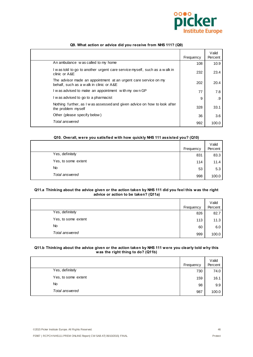

|                                                                                                            | Frequency | Valid<br>Percent |
|------------------------------------------------------------------------------------------------------------|-----------|------------------|
| An ambulance was called to my home                                                                         | 108       | 10.9             |
| I was told to go to another urgent care service myself, such as a walk in<br>clinic or A&E                 | 232       | 23.4             |
| The advisor made an appointment at an urgent care service on my<br>behalf, such as a walk in clinic or A&E | 202       | 20.4             |
| I was advised to make an appointment with my own GP                                                        | 77        | 7.8              |
| I was advised to go to a pharmacist                                                                        | 9         | .9               |
| Nothing further, as I w as assessed and given advice on how to look after<br>the problem myself            | 328       | 33.1             |
| Other (please specify below)                                                                               | 36        | 3.6              |
| Total answered                                                                                             | 992       | 100.0            |

#### **Q9. What action or advice did you receive from NHS 111? (Q9)**

#### **Q10. Overall, were you satisfied with how quickly NHS 111 assisted you? (Q10)**

|                     | Frequency | Valid<br>Percent |
|---------------------|-----------|------------------|
| Yes, definitely     | 831       | 83.3             |
| Yes, to some extent | 114       | 11.4             |
| No.                 | 53        | 5.3              |
| Total answered      | 998       | 100.0            |

#### **Q11.a Thinking about the advice given or the action taken by NHS 111 did you feel this was the right advice or action to be taken? (Q11a)**

|                     | Frequency | Valid<br>Percent |
|---------------------|-----------|------------------|
| Yes, definitely     | 826       | 82.7             |
| Yes, to some extent | 113       | 11.3             |
| No.                 | 60        | 6.0              |
| Total answered      | 999       | 100.0            |

#### **Q11.b Thinking about the advice given or the action taken by NHS 111 were you clearly told why this was the right thing to do? (Q11b)**

|                     | Frequency | Valid<br>Percent |
|---------------------|-----------|------------------|
| Yes, definitely     | 730       | 74.0             |
| Yes, to some extent | 159       | 16.1             |
| No.                 | 98        | 9.9              |
| Total answered      | 987       | 100.0            |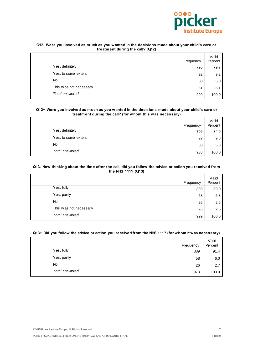

| Q12. Were you involved as much as you wanted in the decisions made about your child's care or |  |
|-----------------------------------------------------------------------------------------------|--|
| treatment during the call? (Q12)                                                              |  |

|                        | Frequency | Valid<br>Percent |
|------------------------|-----------|------------------|
| Yes, definitely        | 796       | 79.7             |
| Yes, to some extent    | 92        | 9.2              |
| No.                    | 50        | 5.0              |
| This was not necessary | 61        | 6.1              |
| Total answered         | 999       | 100.0            |

#### **Q12+ Were you involved as much as you wanted in the decisions made about your child's care or treatment during the call? (for whom this was necessary)**

|                     | Frequency | Valid<br>Percent |
|---------------------|-----------|------------------|
| Yes, definitely     | 796       | 84.9             |
| Yes, to some extent | 92        | 9.8              |
| <b>No</b>           | 50        | 5.3              |
| Total answered      | 938       | 100.0            |

#### **Q13. Now thinking about the time after the call, did you follow the advice or action you received from the NHS 111? (Q13)**

|                        | Frequency | Valid<br>Percent |
|------------------------|-----------|------------------|
| Yes, fully             | 889       | 89.0             |
| Yes, partly            | 58        | 5.8              |
| No.                    | 26        | 2.6              |
| This was not necessary | 26        | 2.6              |
| Total answered         | 999       | 100.0            |

#### **Q13+ Did you follow the advice or action you received from the NHS 111? (for whom it was necessary)**

|                | Frequency | Valid<br>Percent |
|----------------|-----------|------------------|
| Yes, fully     | 889       | 91.4             |
| Yes, partly    | 58        | 6.0              |
| No             | 26        | 2.7              |
| Total answered | 973       | 100.0            |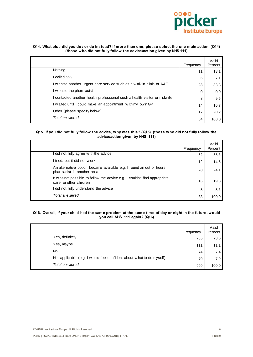

#### **Q14. What else did you do / or do instead? If more than one, please select the one main action. (Q14) (those who did not fully follow the advice/action given by NHS 111)**

|                                                                          | Frequency | Valid<br>Percent |
|--------------------------------------------------------------------------|-----------|------------------|
| Nothing                                                                  | 11        | 13.1             |
| called 999                                                               | 6         | 7.1              |
| I went to another urgent care service such as a walk in clinic or A&E    | 28        | 33.3             |
| I went to the pharmacist                                                 | 0         | 0.0              |
| I contacted another health professional such a health visitor or midwife | 8         | 9.5              |
| I waited until I could make an appointment with my own GP                | 14        | 16.7             |
| Other (please specify below)                                             | 17        | 20.2             |
| Total answered                                                           | 84        | 100.0            |

#### **Q15. If you did not fully follow the advice, why was this? (Q15) (those who did not fully follow the advice/action given by NHS 111)**

|                                                                                                       | Frequency | Valid<br>Percent |
|-------------------------------------------------------------------------------------------------------|-----------|------------------|
| did not fully agree with the advice                                                                   | 32        | 38.6             |
| I tried, but it did not w ork                                                                         | 12        | 14.5             |
| An alternative option became available e.g. I found an out of hours<br>pharmacist in another area     | 20        | 24.1             |
| It w as not possible to follow the advice e.g. I couldn't find appropriate<br>care for other children | 16        | 19.3             |
| I did not fully understand the advice                                                                 | 3         | 3.6              |
| Total answered                                                                                        | 83        | 100.0            |

#### **Q16. Overall, if your child had the same problem at the same time of day or night in the future, would you call NHS 111 again? (Q16)**

|                                                                        | Frequency | Valid<br>Percent |
|------------------------------------------------------------------------|-----------|------------------|
| Yes, definitely                                                        | 735       | 73.6             |
| Yes, maybe                                                             | 111       | 11.1             |
| No.                                                                    | 74        | 7.4              |
| Not applicable (e.g. I w ould feel confident about w hat to do myself) | 79        | 7.9              |
| Total answered                                                         | 999       | 100.0            |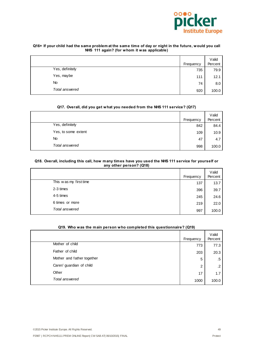

#### **Q16+ If your child had the same problem at the same time of day or night in the future, would you call NHS 111 again? (for whom it was applicable)**

|                 | Frequency | Valid<br>Percent |
|-----------------|-----------|------------------|
| Yes, definitely | 735       | 79.9             |
| Yes, maybe      | 111       | 12.1             |
| No.             | 74        | 8.0              |
| Total answered  | 920       | 100.0            |

|                     | Frequency | Valid<br>Percent |
|---------------------|-----------|------------------|
| Yes, definitely     | 842       | 84.4             |
| Yes, to some extent | 109       | 10.9             |
| No.                 | 47        | 4.7              |
| Total answered      | 998       | 100.0            |

#### **Q17. Overall, did you get what you needed from the NHS 111 service? (Q17)**

#### **Q18. Overall, including this call, how many times have you used the NHS 111 service for yourself or any other person? (Q18)**

|                        | Frequency | Valid<br>Percent |
|------------------------|-----------|------------------|
| This was my first time | 137       | 13.7             |
| 2-3 times              | 396       | 39.7             |
| 4-5 times              | 245       | 24.6             |
| 6 times or more        | 219       | 22.0             |
| Total answered         | 997       | 100.0            |

| Q13. WHO WAS the main person who completed this questionnaire: (Q13) |           |                  |  |  |
|----------------------------------------------------------------------|-----------|------------------|--|--|
|                                                                      | Frequency | Valid<br>Percent |  |  |
| Mother of child                                                      | 773       | 77.3             |  |  |
| Father of child                                                      | 203       | 20.3             |  |  |
| Mother and father together                                           | 5         | .5               |  |  |
| Carer/ guardian of child                                             | 2         | .2               |  |  |
| Other                                                                | 17        | 1.7              |  |  |
| Total answered                                                       | 1000      | 100.0            |  |  |

#### **Q19. Who was the main person who completed this questionnaire? (Q19)**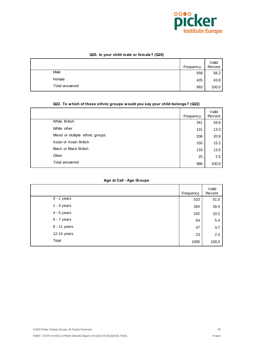

#### **Q20. Is your child male or female? (Q20)**

|                | Frequency | Valid<br>Percent |
|----------------|-----------|------------------|
| Male           | 558       | 56.2             |
| Female         | 435       | 43.8             |
| Total answered | 993       | 100.0            |

#### **Q22. To which of these ethnic groups would you say your child belongs? (Q22)**

|                                 | Frequency | Valid<br>Percent |
|---------------------------------|-----------|------------------|
| White British                   | 341       | 34.6             |
| White other                     | 131       | 13.3             |
| Mixed or multiple ethnic groups | 206       | 20.9             |
| Asian or Asian British          | 150       | 15.2             |
| <b>Black or Black British</b>   | 133       | 13.5             |
| Other                           | 25        | 2.5              |
| Total answered                  | 986       | 100.0            |

#### **Age at Call - Age Groups**

|               | Frequency | Valid<br>Percent |
|---------------|-----------|------------------|
| $0 - 1$ years | 510       | 51.0             |
| $2 - 3$ years | 264       | 26.4             |
| $4 - 5$ years | 102       | 10.2             |
| $6 - 7$ years | 54        | 5.4              |
| 8 - 11 years  | 47        | 4.7              |
| 12-14 years   | 23        | 2.3              |
| Total         | 1000      | 100.0            |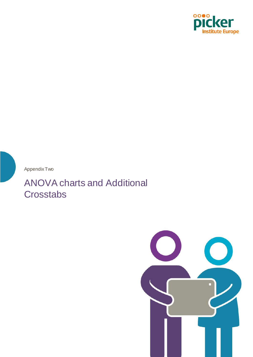

Appendix Two

ANOVA charts and Additional **Crosstabs** 

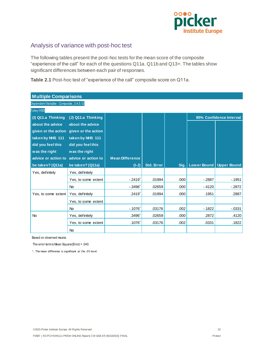

### Analysis of variance with post-hoc test

The following tables present the post-hoc tests for the mean score of the composite "experience of the call" for each of the questions Q11a. Q11b and Q13+. The tables show significant differences between each pair of responses.

**Table 2.1** Post-hoc test of "experience of the call" composite score on Q11a.

| <b>Multiple Comparisons</b>            |                                         |                        |            |      |                         |                    |  |
|----------------------------------------|-----------------------------------------|------------------------|------------|------|-------------------------|--------------------|--|
| Dependent Variable: Composite_3.4.5.12 |                                         |                        |            |      |                         |                    |  |
| <b>Tukey HSD</b>                       |                                         |                        |            |      |                         |                    |  |
| (I) Q11.a Thinking                     | (J) Q11.a Thinking                      |                        |            |      | 95% Confidence Interval |                    |  |
| about the advice                       | about the advice                        |                        |            |      |                         |                    |  |
|                                        | given or the action given or the action |                        |            |      |                         |                    |  |
| taken by NHS 111                       | taken by NHS 111                        |                        |            |      |                         |                    |  |
| did you feel this                      | did you feel this                       |                        |            |      |                         |                    |  |
| was the right                          | was the right                           |                        |            |      |                         |                    |  |
|                                        | advice or action to advice or action to | <b>Mean Difference</b> |            |      |                         |                    |  |
| be taken? (Q11a)                       | be taken? (Q11a)                        | $(I-J)$                | Std. Error | Siq. | Lower Bound             | <b>Upper Bound</b> |  |
| Yes, definitely                        | Yes, definitely                         |                        |            |      |                         |                    |  |
|                                        | Yes, to some extent                     | $-.2419$               | .01994     | .000 | $-2887$                 | $-.1951$           |  |
|                                        |                                         |                        |            |      |                         |                    |  |
|                                        | <b>No</b>                               | $-.3496$ <sup>*</sup>  | .02659     | .000 | $-4120$                 | $-0.2872$          |  |
| Yes, to some extent                    | Yes, definitely                         | .2419                  | .01994     | .000 | .1951                   | .2887              |  |
|                                        | Yes, to some extent                     |                        |            |      |                         |                    |  |
|                                        | <b>No</b>                               | $-.1076$               | .03176     | .002 | $-.1822$                | $-0.0331$          |  |
| <b>No</b>                              | Yes, definitely                         | $.3496*$               | .02659     | .000 | .2872                   | .4120              |  |
|                                        | Yes, to some extent                     | .1076                  | .03176     | .002 | .0331                   | .1822              |  |

Based on observed means.

The error term is Mean Square(Error) = .040.

\*. The mean difference is significant at the .05 level.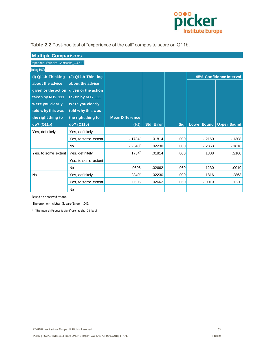

**Table 2.2** Post-hoc test of "experience of the call" composite score on Q11b.

| <b>Multiple Comparisons</b>            |                                         |                        |            |      |                                  |          |  |
|----------------------------------------|-----------------------------------------|------------------------|------------|------|----------------------------------|----------|--|
| Dependent Variable: Composite_3.4.5.12 |                                         |                        |            |      |                                  |          |  |
| <b>Tukey HSD</b>                       |                                         |                        |            |      |                                  |          |  |
| (I) Q11.b Thinking                     | (J) Q11.b Thinking                      |                        |            |      | 95% Confidence Interval          |          |  |
| about the advice                       | about the advice                        |                        |            |      |                                  |          |  |
|                                        | given or the action given or the action |                        |            |      |                                  |          |  |
| taken by NHS 111                       | taken by NHS 111                        |                        |            |      |                                  |          |  |
| were you clearly                       | were you clearly                        |                        |            |      |                                  |          |  |
| told why this was                      | told why this was                       |                        |            |      |                                  |          |  |
| the right thing to                     | the right thing to                      | <b>Mean Difference</b> |            |      |                                  |          |  |
| do? (Q11b)                             | do? (Q11b)                              | $(I-J)$                | Std. Error |      | Sig.   Lower Bound   Upper Bound |          |  |
| Yes, definitely                        | Yes, definitely                         |                        |            |      |                                  |          |  |
|                                        | Yes, to some extent                     | $-.1734"$              | .01814     | .000 | $-0.2160$                        | $-1308$  |  |
|                                        | <b>No</b>                               | $-.2340*$              | .02230     | .000 | $-0.2863$                        | $-.1816$ |  |
| Yes, to some extent                    | Yes, definitely                         | .1734 $\degree$        | .01814     | .000 | .1308                            | .2160    |  |
|                                        | Yes, to some extent                     |                        |            |      |                                  |          |  |
|                                        | No.                                     | $-0606$                | .02662     | .060 | $-0.1230$                        | .0019    |  |
| <b>No</b>                              | Yes, definitely                         | .2340                  | .02230     | .000 | .1816                            | .2863    |  |
|                                        | Yes, to some extent                     | .0606                  | .02662     | .060 | $-.0019$                         | .1230    |  |
|                                        | No                                      |                        |            |      |                                  |          |  |

Based on observed means.

The error term is Mean Square(Error) =  $.043$ .

\*. The mean difference is significant at the .05 level.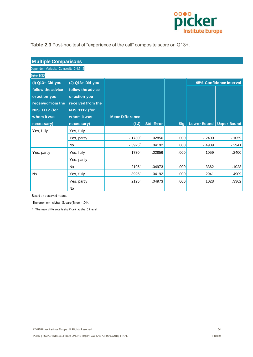

**Table 2.3** Post-hoc test of "experience of the call" composite score on Q13+.

| <b>Multiple Comparisons</b>                                                 |                                                                             |                        |            |      |             |                         |
|-----------------------------------------------------------------------------|-----------------------------------------------------------------------------|------------------------|------------|------|-------------|-------------------------|
| Dependent Variable: Composite_3.4.5.12                                      |                                                                             |                        |            |      |             |                         |
| <b>Tukey HSD</b>                                                            |                                                                             |                        |            |      |             |                         |
| (I) Q13+ Did you<br>follow the advice<br>or action you<br>received from the | (J) Q13+ Did you<br>follow the advice<br>or action you<br>received from the |                        |            |      |             | 95% Confidence Interval |
| <b>NHS 111? (for</b>                                                        | <b>NHS 111? (for</b>                                                        |                        |            |      |             |                         |
| whom it was                                                                 | whom it was                                                                 | <b>Mean Difference</b> |            |      |             |                         |
| necessary)                                                                  | necessary)                                                                  | $(I-J)$                | Std. Error | Sig. | Lower Bound | <b>Upper Bound</b>      |
| Yes, fully                                                                  | Yes, fully                                                                  |                        |            |      |             |                         |
|                                                                             | Yes, partly                                                                 | $-.1730°$              | .02856     | .000 | $-0.2400$   | $-1059$                 |
|                                                                             | <b>No</b>                                                                   | $-.3925$               | .04192     | .000 | $-.4909$    | $-2941$                 |
| Yes, partly                                                                 | Yes, fully                                                                  | .1730 <sup>°</sup>     | .02856     | .000 | .1059       | .2400                   |
|                                                                             | Yes, partly                                                                 |                        |            |      |             |                         |
|                                                                             | <b>No</b>                                                                   | $-.2195$               | .04973     | .000 | $-0.3362$   | $-0.1028$               |
| <b>No</b>                                                                   | Yes, fully                                                                  | .3925                  | .04192     | .000 | .2941       | .4909                   |
|                                                                             | Yes, partly                                                                 | .2195                  | .04973     | .000 | .1028       | .3362                   |
|                                                                             | <b>No</b>                                                                   |                        |            |      |             |                         |

Based on observed means.

The error term is Mean Square(Error) = .044.

\*. The mean difference is significant at the .05 level.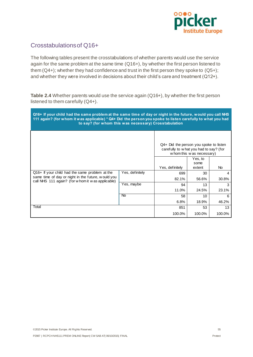

## Crosstabulations of Q16+

The following tables present the crosstabulations of whether parents would use the service again for the same problem at the same time (Q16+), by whether the first person listened to them (Q4+); whether they had confidence and trust in the first person they spoke to (Q5+); and whether they were involved in decisions about their child's care and treatment (Q12+).

**Table 2.4** Whether parents would use the service again (Q16+), by whether the first person listened to them carefully (Q4+).

| Q16+ If your child had the same problem at the same time of day or night in the future, would you call NHS<br>111 again? (for whom it was applicable) * Q4+ Did the person you spoke to listen carefully to what you had<br>to say? (for whom this was necessary) Crosstabulation |                 |                                                                                    |                           |              |
|-----------------------------------------------------------------------------------------------------------------------------------------------------------------------------------------------------------------------------------------------------------------------------------|-----------------|------------------------------------------------------------------------------------|---------------------------|--------------|
|                                                                                                                                                                                                                                                                                   |                 | $Q4+$ Did the person you spoke to listen<br>carefully to what you had to say? (for | whom this was necessary)  |              |
|                                                                                                                                                                                                                                                                                   |                 | Yes, definitely                                                                    | Yes, to<br>some<br>extent | <b>No</b>    |
| $Q16+$ If your child had the same problem at the<br>same time of day or night in the future, would you<br>call NHS 111 again? (for w hom it w as applicable)                                                                                                                      | Yes, definitely | 699<br>82.1%                                                                       | 30<br>56.6%               | 4<br>30.8%   |
|                                                                                                                                                                                                                                                                                   | Yes, maybe      | 94<br>11.0%                                                                        | 13<br>24.5%               | 3<br>23.1%   |
|                                                                                                                                                                                                                                                                                   | <b>No</b>       | 58<br>6.8%                                                                         | 10 <sup>10</sup><br>18.9% | 6<br>46.2%   |
| Total                                                                                                                                                                                                                                                                             |                 | 851<br>100.0%                                                                      | 53<br>100.0%              | 13<br>100.0% |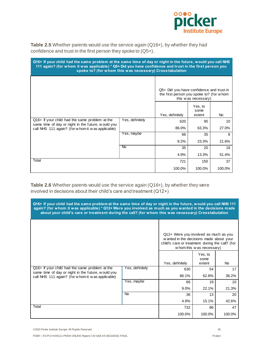

**Table 2.5** Whether parents would use the service again (Q16+), by whether they had confidence and trust in the first person they spoke to (Q5+).

| Q16+ If your child had the same problem at the same time of day or night in the future, would you call NHS<br>111 again? (for whom it was applicable) * Q5+ Did you have confidence and trust in the first person you<br>spoke to? (for whom this was necessary) Crosstabulation |                 |                                                                                      |                           |        |
|----------------------------------------------------------------------------------------------------------------------------------------------------------------------------------------------------------------------------------------------------------------------------------|-----------------|--------------------------------------------------------------------------------------|---------------------------|--------|
|                                                                                                                                                                                                                                                                                  |                 | Q5+ Did you have confidence and trust in<br>the first person you spoke to? (for whom | this was necessary)       |        |
|                                                                                                                                                                                                                                                                                  |                 | Yes, definitely                                                                      | Yes, to<br>some<br>extent | No.    |
| $Q16+$ If your child had the same problem at the<br>same time of day or night in the future, would you<br>call NHS 111 again? (for w hom it w as applicable)                                                                                                                     | Yes, definitely | 620                                                                                  | 95                        | 10     |
|                                                                                                                                                                                                                                                                                  |                 | 86.0%                                                                                | 63.3%                     | 27.0%  |
|                                                                                                                                                                                                                                                                                  | Yes, maybe      | 66                                                                                   | 35                        | 8      |
|                                                                                                                                                                                                                                                                                  |                 | 9.2%                                                                                 | 23.3%                     | 21.6%  |
|                                                                                                                                                                                                                                                                                  | -No             | 35                                                                                   | 20                        | 19     |
|                                                                                                                                                                                                                                                                                  |                 | 4.9%                                                                                 | 13.3%                     | 51.4%  |
| Total                                                                                                                                                                                                                                                                            |                 | 721                                                                                  | 150                       | 37     |
|                                                                                                                                                                                                                                                                                  |                 | 100.0%                                                                               | 100.0%                    | 100.0% |

**Table 2.6** Whether parents would use the service again (Q16+), by whether they were involved in decisions about their child's care and treatment (Q12+)

| Q16+ If your child had the same problem at the same time of day or night in the future, would you call NHS 111<br>again? (for whom it was applicable) * Q12+ Were you involved as much as you wanted in the decisions made<br>about your child's care or treatment during the call? (for whom this was necessary) Crosstabulation |                 |                                                                                                                                      |                           |           |  |
|-----------------------------------------------------------------------------------------------------------------------------------------------------------------------------------------------------------------------------------------------------------------------------------------------------------------------------------|-----------------|--------------------------------------------------------------------------------------------------------------------------------------|---------------------------|-----------|--|
|                                                                                                                                                                                                                                                                                                                                   |                 | Q12+ Were you involved as much as you<br>w anted in the decisions made about your<br>child's care or treatment during the call? (for | whom this was necessary)  |           |  |
|                                                                                                                                                                                                                                                                                                                                   |                 | Yes, definitely                                                                                                                      | Yes, to<br>some<br>extent | <b>No</b> |  |
| Q16+ If your child had the same problem at the                                                                                                                                                                                                                                                                                    | Yes, definitely | 630                                                                                                                                  | 54                        | 17        |  |
| same time of day or night in the future, would you<br>call NHS 111 again? (for w hom it w as applicable)                                                                                                                                                                                                                          |                 | 86.1%                                                                                                                                | 62.8%                     | 36.2%     |  |
|                                                                                                                                                                                                                                                                                                                                   | Yes, maybe      | 66                                                                                                                                   | 19                        | 10        |  |
|                                                                                                                                                                                                                                                                                                                                   |                 | 9.0%                                                                                                                                 | 22.1%                     | 21.3%     |  |
|                                                                                                                                                                                                                                                                                                                                   | <b>No</b>       | 36                                                                                                                                   | 13                        | 20        |  |
|                                                                                                                                                                                                                                                                                                                                   |                 | 4.9%                                                                                                                                 | 15.1%                     | 42.6%     |  |
| Total                                                                                                                                                                                                                                                                                                                             |                 | 732                                                                                                                                  | 86                        | 47        |  |
|                                                                                                                                                                                                                                                                                                                                   |                 | 100.0%                                                                                                                               | 100.0%                    | 100.0%    |  |

©2015 Picker Institute Europe. All Rights Reserved. 56